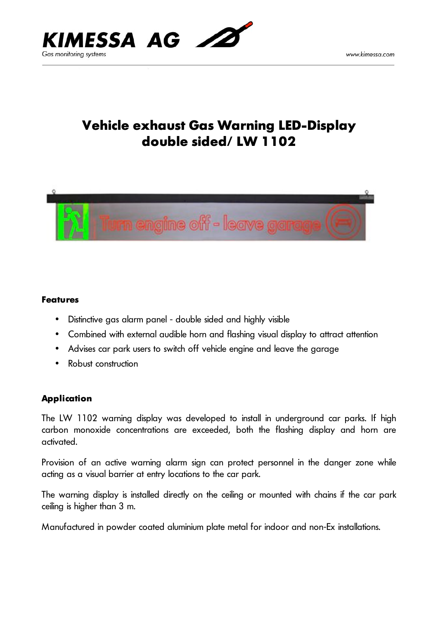

# **Vehicle exhaust Gas Warning LED-Display double sided/ LW 1102**



#### **Features**

- Distinctive gas alarm panel double sided and highly visible
- Combined with external audible horn and flashing visual display to attract attention
- Advises car park users to switch off vehicle engine and leave the garage
- Robust construction

### **Application**

The LW 1102 warning display was developed to install in underground car parks. If high carbon monoxide concentrations are exceeded, both the flashing display and horn are activated.

Provision of an active warning alarm sign can protect personnel in the danger zone while acting as a visual barrier at entry locations to the car park.

The warning display is installed directly on the ceiling or mounted with chains if the car park ceiling is higher than 3 m.

Manufactured in powder coated aluminium plate metal for indoor and non-Ex installations.